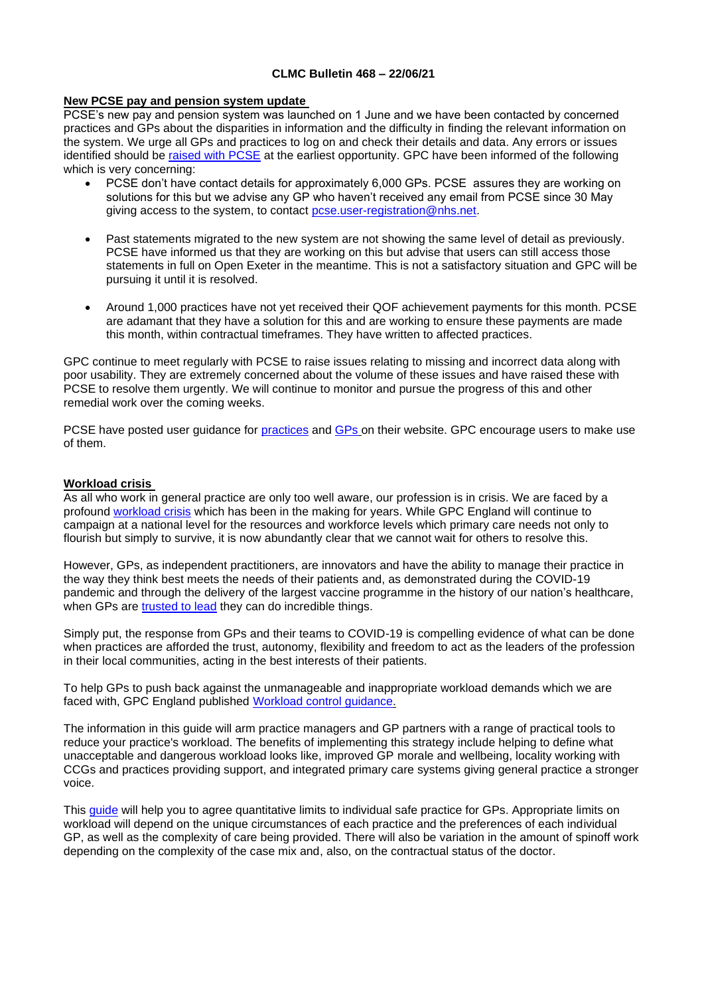#### **CLMC Bulletin 468 – 22/06/21**

## **New PCSE pay and pension system update**

PCSE's new pay and pension system was launched on 1 June and we have been contacted by concerned practices and GPs about the disparities in information and the difficulty in finding the relevant information on the system. We urge all GPs and practices to log on and check their details and data. Any errors or issues identified should be [raised with PCSE](https://pcse.england.nhs.uk/contact-us/?utm_source=The%20British%20Medical%20Association&utm_medium=email&utm_campaign=12427736_GP%20ENEWSLETTER%2003062021&utm_content=raise%20issues&dm_t=0,0,0,0,0) at the earliest opportunity. GPC have been informed of the following which is very concerning:

- PCSE don't have contact details for approximately 6,000 GPs. PCSE assures they are working on solutions for this but we advise any GP who haven't received any email from PCSE since 30 May giving access to the system, to contact [pcse.user-registration@nhs.net.](mailto:pcse.user-registration@nhs.net)
- Past statements migrated to the new system are not showing the same level of detail as previously. PCSE have informed us that they are working on this but advise that users can still access those statements in full on Open Exeter in the meantime. This is not a satisfactory situation and GPC will be pursuing it until it is resolved.
- Around 1,000 practices have not yet received their QOF achievement payments for this month. PCSE are adamant that they have a solution for this and are working to ensure these payments are made this month, within contractual timeframes. They have written to affected practices.

GPC continue to meet regularly with PCSE to raise issues relating to missing and incorrect data along with poor usability. They are extremely concerned about the volume of these issues and have raised these with PCSE to resolve them urgently. We will continue to monitor and pursue the progress of this and other remedial work over the coming weeks.

PCSE have posted user guidance for [practices](https://pcse.england.nhs.uk/services/gp-payments/practices/) and [GPs](https://pcse.england.nhs.uk/services/gp-pensions/) on their website. GPC encourage users to make use of them.

# **Workload crisis**

As all who work in general practice are only too well aware, our profession is in crisis. We are faced by a profound [workload crisis](https://bma-mail.org.uk/t/JVX-7DZI6-EC5E0CEA0D8A5317JCJOU4BA186991484320BE/cr.aspx) which has been in the making for years. While GPC England will continue to campaign at a national level for the resources and workforce levels which primary care needs not only to flourish but simply to survive, it is now abundantly clear that we cannot wait for others to resolve this.

However, GPs, as independent practitioners, are innovators and have the ability to manage their practice in the way they think best meets the needs of their patients and, as demonstrated during the COVID-19 pandemic and through the delivery of the largest vaccine programme in the history of our nation's healthcare, when GPs are [trusted to lead](https://www.bma.org.uk/media/2652/bma-report-trust-gps-to-lead-june-2020.pdf) they can do incredible things.

Simply put, the response from GPs and their teams to COVID-19 is compelling evidence of what can be done when practices are afforded the trust, autonomy, flexibility and freedom to act as the leaders of the profession in their local communities, acting in the best interests of their patients.

To help GPs to push back against the unmanageable and inappropriate workload demands which we are faced with, GPC England published [Workload control guidance.](https://www.bma.org.uk/media/1145/workload-control-general-practice-mar2018-1.pdf)

The information in this guide will arm practice managers and GP partners with a range of practical tools to reduce your practice's workload. The benefits of implementing this strategy include helping to define what unacceptable and dangerous workload looks like, improved GP morale and wellbeing, locality working with CCGs and practices providing support, and integrated primary care systems giving general practice a stronger voice.

This quide will help you to agree quantitative limits to individual safe practice for GPs. Appropriate limits on workload will depend on the unique circumstances of each practice and the preferences of each individual GP, as well as the complexity of care being provided. There will also be variation in the amount of spinoff work depending on the complexity of the case mix and, also, on the contractual status of the doctor.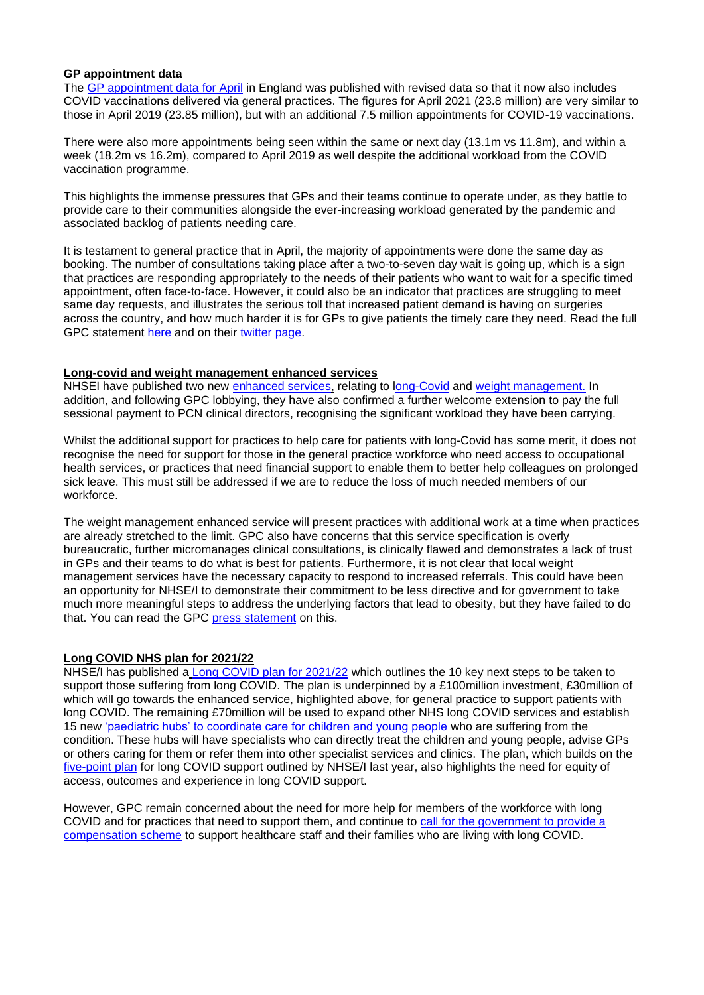# **GP appointment data**

The [GP appointment data for April](https://digital.nhs.uk/data-and-information/publications/statistical/appointments-in-general-practice/april-2021) in England was published with revised data so that it now also includes COVID vaccinations delivered via general practices. The figures for April 2021 (23.8 million) are very similar to those in April 2019 (23.85 million), but with an additional 7.5 million appointments for COVID-19 vaccinations.

There were also more appointments being seen within the same or next day (13.1m vs 11.8m), and within a week (18.2m vs 16.2m), compared to April 2019 as well despite the additional workload from the COVID vaccination programme.

This highlights the immense pressures that GPs and their teams continue to operate under, as they battle to provide care to their communities alongside the ever-increasing workload generated by the pandemic and associated backlog of patients needing care.

It is testament to general practice that in April, the majority of appointments were done the same day as booking. The number of consultations taking place after a two-to-seven day wait is going up, which is a sign that practices are responding appropriately to the needs of their patients who want to wait for a specific timed appointment, often face-to-face. However, it could also be an indicator that practices are struggling to meet same day requests, and illustrates the serious toll that increased patient demand is having on surgeries across the country, and how much harder it is for GPs to give patients the timely care they need. Read the full GPC statement [here](https://www.bma.org.uk/bma-media-centre/cracks-are-starting-to-show-crisis-in-primary-care-can-no-longer-be-ignored-says-bma-in-response-to-gp-appointment-data) and on their [twitter page.](https://twitter.com/BMA_GP/status/1405483074201210881?s=20)

#### **Long-covid and weight management enhanced services**

NHSEI have published two new [enhanced services,](https://www.england.nhs.uk/publication/update-to-gp-contract-arrangements-for-2021-22/) relating to [long-Covid](https://www.england.nhs.uk/publication/enhanced-service-specification-long-covid-2021-22/) and [weight management.](https://www.england.nhs.uk/publication/enhanced-service-specification-weight-management-2021-22/) In addition, and following GPC lobbying, they have also confirmed a further welcome extension to pay the full sessional payment to PCN clinical directors, recognising the significant workload they have been carrying.

Whilst the additional support for practices to help care for patients with long-Covid has some merit, it does not recognise the need for support for those in the general practice workforce who need access to occupational health services, or practices that need financial support to enable them to better help colleagues on prolonged sick leave. This must still be addressed if we are to reduce the loss of much needed members of our workforce.

The weight management enhanced service will present practices with additional work at a time when practices are already stretched to the limit. GPC also have concerns that this service specification is overly bureaucratic, further micromanages clinical consultations, is clinically flawed and demonstrates a lack of trust in GPs and their teams to do what is best for patients. Furthermore, it is not clear that local weight management services have the necessary capacity to respond to increased referrals. This could have been an opportunity for NHSE/I to demonstrate their commitment to be less directive and for government to take much more meaningful steps to address the underlying factors that lead to obesity, but they have failed to do that. You can read the GPC [press statement](https://www.bma.org.uk/bma-media-centre/weight-management-enhanced-service-in-england-flawed-says-bma-gp-chair) on this.

# **Long COVID NHS plan for 2021/22**

NHSE/I has published a [Long COVID plan for 2021/22](https://www.england.nhs.uk/coronavirus/publication/long-covid-the-nhs-plan-for-2021-22/) which outlines the 10 key next steps to be taken to support those suffering from long COVID. The plan is underpinned by a £100million investment, £30million of which will go towards the enhanced service, highlighted above, for general practice to support patients with long COVID. The remaining £70million will be used to expand other NHS long COVID services and establish 15 new ['paediatric hubs' to coordinate care for children and young people](https://www.england.nhs.uk/2021/06/nhs-sets-up-specialist-young-peoples-services-in-100-million-long-covid-care-expansion/) who are suffering from the condition. These hubs will have specialists who can directly treat the children and young people, advise GPs or others caring for them or refer them into other specialist services and clinics. The plan, which builds on the [five-point plan](http://tracking.vuelio.co.uk/tracking/click?d=MtsCQaNFFMbnYRX7NKOrdYvDLxKvOVAerlOEDOG6fulaf6e_ZZDzMNBjlb1SXRD8it2-KlCojZ9AscyBbWZOmfvyh6ShohWGJEJRoXyv2h2SukgnVCvHRHANOwPbP3h6iX_zM9xn9r-sxxQ1a4Pw39xTgZ2PVrEZ6ROaPnp4XkvDochifmqj2WG994aYq46-fQ2) for long COVID support outlined by NHSE/I last year, also highlights the need for equity of access, outcomes and experience in long COVID support.

However, GPC remain concerned about the need for more help for members of the workforce with long COVID and for practices that need to support them, and continue to [call for the government to provide a](https://www.bma.org.uk/bma-media-centre/bma-backs-calls-for-long-covid-compensation-scheme)  [compensation scheme](https://www.bma.org.uk/bma-media-centre/bma-backs-calls-for-long-covid-compensation-scheme) to support healthcare staff and their families who are living with long COVID.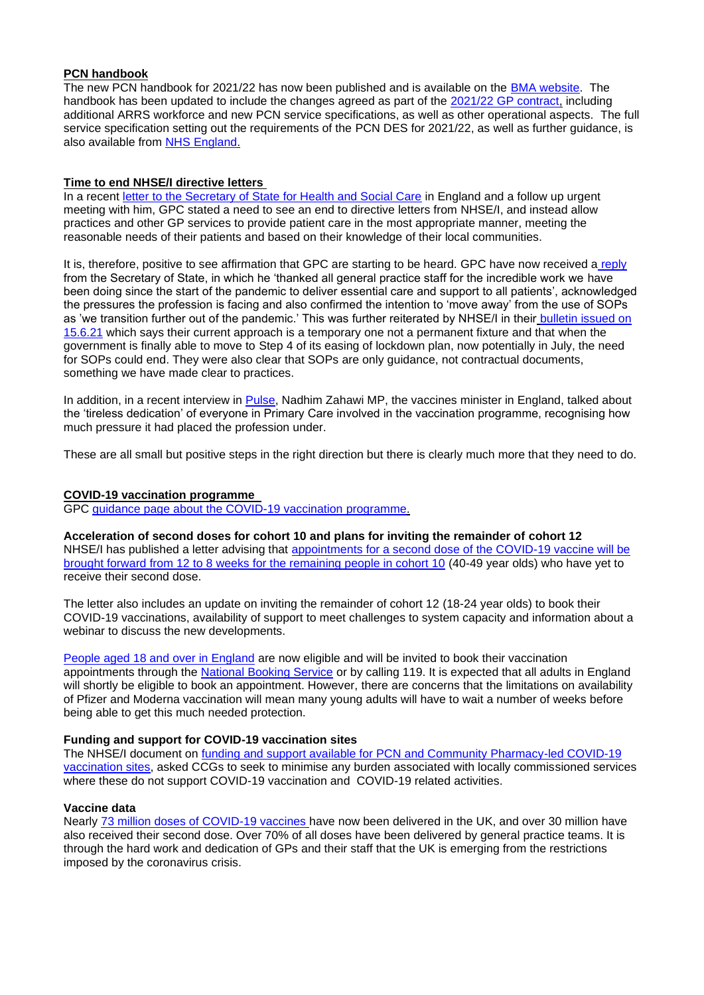#### **PCN handbook**

The new PCN handbook for 2021/22 has now been published and is available on the [BMA website.](https://www.bma.org.uk/advice-and-support/gp-practices/primary-care-networks/primary-care-networks-pcns) The handbook has been updated to include the changes agreed as part of the [2021/22 GP contract,](https://www.bma.org.uk/pay-and-contracts/contracts/gp-contract/gp-contract-england-202122) including additional ARRS workforce and new PCN service specifications, as well as other operational aspects. The full service specification setting out the requirements of the PCN DES for 2021/22, as well as further guidance, is also available from [NHS England.](https://www.england.nhs.uk/gp/investment/gp-contract/)

## **Time to end NHSE/I directive letters**

In a recent [letter to the Secretary of State for Health and Social Care](https://www.bma.org.uk/media/4131/bma-gpc-letter-to-sos-may-18-2021.pdf) in England and a follow up urgent meeting with him, GPC stated a need to see an end to directive letters from NHSE/I, and instead allow practices and other GP services to provide patient care in the most appropriate manner, meeting the reasonable needs of their patients and based on their knowledge of their local communities.

It is, therefore, positive to see affirmation that GPC are starting to be heard. GPC have now received a [reply](https://bma-mail.org.uk/t/JVX-7F22V-JCJOU4-4H6JW6-1/c.aspx) from the Secretary of State, in which he 'thanked all general practice staff for the incredible work we have been doing since the start of the pandemic to deliver essential care and support to all patients', acknowledged the pressures the profession is facing and also confirmed the intention to 'move away' from the use of SOPs as 'we transition further out of the pandemic.' This was further reiterated by NHSE/I in their bulletin issued on [15.6.21](http://createsend.com/t/d-2E8F64C5CA04E2AC2540EF23F30FEDED) which says their current approach is a temporary one not a permanent fixture and that when the government is finally able to move to Step 4 of its easing of lockdown plan, now potentially in July, the need for SOPs could end. They were also clear that SOPs are only guidance, not contractual documents, something we have made clear to practices.

In addition, in a recent interview in [Pulse,](https://www.pulsetoday.co.uk/views/pulse-pcn/vaccines-minister-we-recognise-the-pressure-caused-by-the-vaccination-programme/) Nadhim Zahawi MP, the vaccines minister in England, talked about the 'tireless dedication' of everyone in Primary Care involved in the vaccination programme, recognising how much pressure it had placed the profession under.

These are all small but positive steps in the right direction but there is clearly much more that they need to do.

#### **COVID-19 vaccination programme**

GPC [guidance page about the COVID-19 vaccination programme.](https://www.bma.org.uk/advice-and-support/covid-19/gp-practices/covid-19-vaccination-programme)

**Acceleration of second doses for cohort 10 and plans for inviting the remainder of cohort 12** NHSE/I has published a letter advising that [appointments for a second dose of the COVID-19 vaccine will be](https://www.england.nhs.uk/coronavirus/publication/acceleration-of-second-doses-for-cohort-10-and-plans-for-inviting-the-remainder-of-cohort-12/)  [brought forward from 12 to 8 weeks for the remaining people in cohort 10](https://www.england.nhs.uk/coronavirus/publication/acceleration-of-second-doses-for-cohort-10-and-plans-for-inviting-the-remainder-of-cohort-12/) (40-49 year olds) who have yet to receive their second dose.

The letter also includes an update on inviting the remainder of cohort 12 (18-24 year olds) to book their COVID-19 vaccinations, availability of support to meet challenges to system capacity and information about a webinar to discuss the new developments.

[People aged 18 and over in England](https://www.england.nhs.uk/2021/06/nhs-invites-all-adults-to-get-a-covid-jab-in-final-push/) are now eligible and will be invited to book their vaccination appointments through the [National Booking Service](https://www.nhs.uk/conditions/coronavirus-covid-19/coronavirus-vaccination/book-coronavirus-vaccination/) or by calling 119. It is expected that all adults in England will shortly be eligible to book an appointment. However, there are concerns that the limitations on availability of Pfizer and Moderna vaccination will mean many young adults will have to wait a number of weeks before being able to get this much needed protection.

#### **Funding and support for COVID-19 vaccination sites**

The NHSE/I document on [funding and support available for PCN and Community Pharmacy-led COVID-19](https://www.england.nhs.uk/coronavirus/publication/further-funding-and-support-for-pcn-and-community-pharmacy-led-covid-19-vaccination-sites/)  [vaccination sites,](https://www.england.nhs.uk/coronavirus/publication/further-funding-and-support-for-pcn-and-community-pharmacy-led-covid-19-vaccination-sites/) asked CCGs to seek to minimise any burden associated with locally commissioned services where these do not support COVID-19 vaccination and COVID-19 related activities.

# **Vaccine data**

Nearly [73 million doses of COVID-19 vaccines](https://coronavirus.data.gov.uk/details/vaccinations) have now been delivered in the UK, and over 30 million have also received their second dose. Over 70% of all doses have been delivered by general practice teams. It is through the hard work and dedication of GPs and their staff that the UK is emerging from the restrictions imposed by the coronavirus crisis.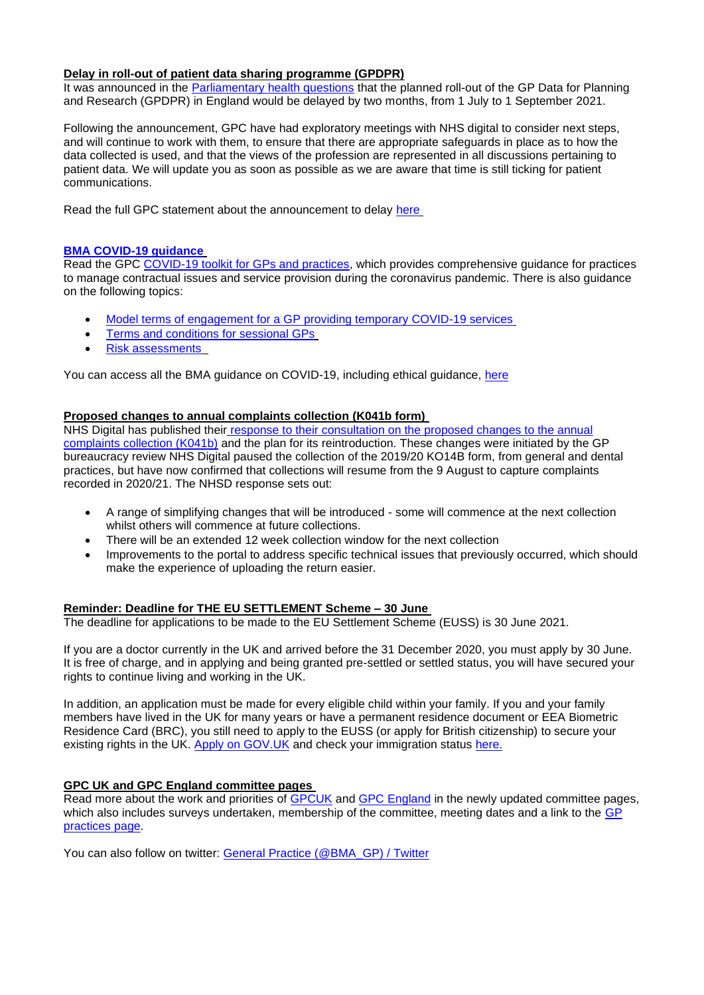#### **Delay in roll-out of patient data sharing programme (GPDPR)**

It was announced in the **Parliamentary health questions that the planned roll-out of the GP Data for Planning** and Research (GPDPR) in England would be delayed by two months, from 1 July to 1 September 2021.

Following the announcement, GPC have had exploratory meetings with NHS digital to consider next steps, and will continue to work with them, to ensure that there are appropriate safeguards in place as to how the data collected is used, and that the views of the profession are represented in all discussions pertaining to patient data. We will update you as soon as possible as we are aware that time is still ticking for patient communications.

Read the full GPC statement about the announcement to delay [here](https://www.bma.org.uk/bma-media-centre/bma-says-ministers-listened-to-association-s-call-to-delay-roll-out-of-the-patient-data-sharing-programme-and-it-was-the-right-thing-to-do)

#### **[BMA COVID-19 guidance](https://www.bma.org.uk/advice-and-support/covid-19)**

Read the GPC [COVID-19 toolkit for GPs and practices,](https://www.bma.org.uk/advice-and-support/covid-19/practical-guidance/covid-19-toolkit-for-gps-and-gp-practices) which provides comprehensive guidance for practices to manage contractual issues and service provision during the coronavirus pandemic. There is also guidance on the following topics:

- [Model terms of engagement for a GP providing temporary COVID-19 services](https://www.bma.org.uk/advice-and-support/covid-19/your-contract/covid-19-model-terms-for-gps)
- [Terms and conditions for sessional GPs](https://www.bma.org.uk/advice-and-support/covid-19/your-contract/covid-19-your-terms-and-conditions/your-terms-and-conditions-sessional-gps)
- [Risk assessments](https://www.bma.org.uk/advice-and-support/covid-19/your-health/covid-19-risk-assessment)

You can access all the BMA guidance on COVID-19, including ethical guidance, [here](https://www.bma.org.uk/advice-and-support/covid-19)

### **Proposed changes to annual complaints collection (K041b form)**

NHS Digital has published their [response to their consultation on the proposed changes to the annual](https://nhs-digital.citizenspace.com/workforce/consultation-on-changes-to-the-data-on-written-com/)  [complaints collection \(K041b\)](https://nhs-digital.citizenspace.com/workforce/consultation-on-changes-to-the-data-on-written-com/) and the plan for its reintroduction. These changes were initiated by the GP bureaucracy review NHS Digital paused the collection of the 2019/20 KO14B form, from general and dental practices, but have now confirmed that collections will resume from the 9 August to capture complaints recorded in 2020/21. The NHSD response sets out:

- A range of simplifying changes that will be introduced some will commence at the next collection whilst others will commence at future collections.
- There will be an extended 12 week collection window for the next collection
- Improvements to the portal to address specific technical issues that previously occurred, which should make the experience of uploading the return easier.

#### **Reminder: Deadline for THE EU SETTLEMENT Scheme – 30 June**

The deadline for applications to be made to the EU Settlement Scheme (EUSS) is 30 June 2021.

If you are a doctor currently in the UK and arrived before the 31 December 2020, you must apply by 30 June. It is free of charge, and in applying and being granted pre-settled or settled status, you will have secured your rights to continue living and working in the UK.

In addition, an application must be made for every eligible child within your family. If you and your family members have lived in the UK for many years or have a permanent residence document or EEA Biometric Residence Card (BRC), you still need to apply to the EUSS (or apply for British citizenship) to secure your existing rights in the UK. [Apply on GOV.UK](https://response.smartcdn.co.uk/homeofficeR4/mailresponse.asp?tid=20538&em=13608104&turl=https://www.gov.uk/settled-status-eu-citizens-families/applying-for-settled-status) and check your immigration status [here.](https://www.gov.uk/view-prove-immigration-status)

# **GPC UK and GPC England committee pages**

Read more about the work and priorities of [GPCUK](https://www.bma.org.uk/what-we-do/committees/general-practitioners-committee/general-practitioners-committee-uk-overview) and [GPC England](https://www.bma.org.uk/what-we-do/committees/general-practitioners-committee/england-general-practitioners-committee) in the newly updated committee pages, which also includes surveys undertaken, membership of the committee, meeting dates and a link to the GP [practices](https://www.bma.org.uk/advice-and-support/gp-practices) page.

You can also follow on twitter: [General Practice \(@BMA\\_GP\) / Twitter](https://twitter.com/bma_gp?lang=en)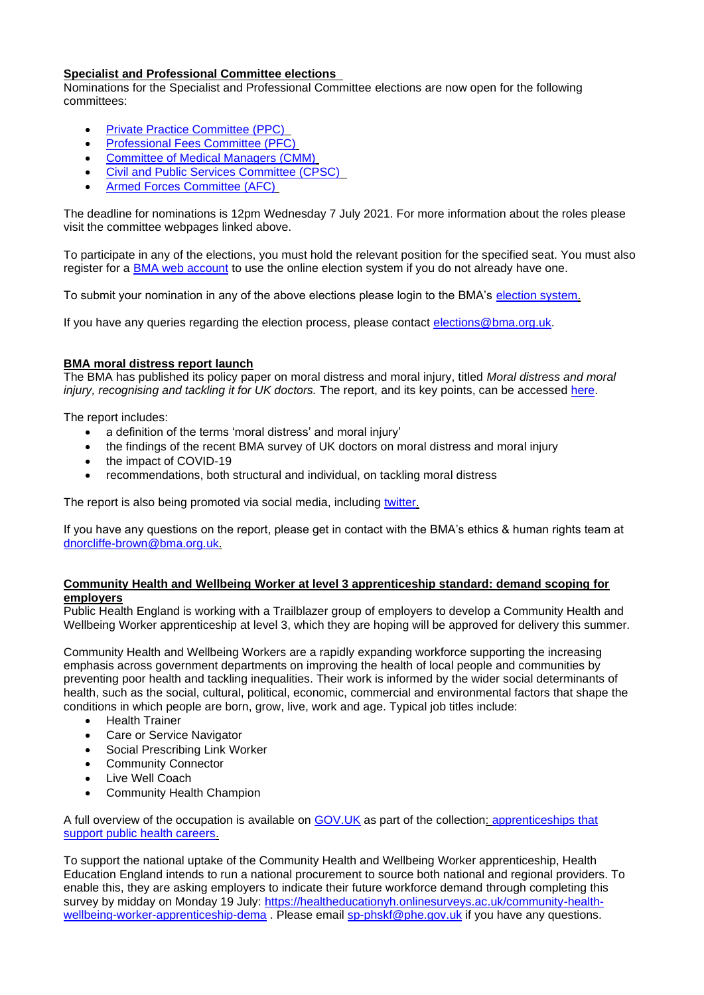# **Specialist and Professional Committee elections**

Nominations for the Specialist and Professional Committee elections are now open for the following committees:

- [Private Practice Committee \(PPC\)](https://www.bma.org.uk/what-we-do/committees/private-practice-committee/private-practice-committee-overview)
- [Professional Fees Committee \(PFC\)](https://www.bma.org.uk/what-we-do/committees/professional-fees-committee/professional-fees-committee-overview)
- [Committee of Medical Managers \(CMM\)](https://www.bma.org.uk/what-we-do/committees/committee-for-medical-managers/committee-for-medical-managers-overview)
- [Civil and Public Services Committee \(CPSC\)](https://www.bma.org.uk/what-we-do/committees/civil-and-public-services-committee/civil-and-public-services-committee-overview)
- [Armed Forces Committee \(AFC\)](https://www.bma.org.uk/what-we-do/committees/armed-forces-committee/armed-forces-committee-overview)

The deadline for nominations is 12pm Wednesday 7 July 2021. For more information about the roles please visit the committee webpages linked above.

To participate in any of the elections, you must hold the relevant position for the specified seat. You must also register for a [BMA web account](https://www.bma.org.uk/about-us/about-the-bma/bma-website/bma-website-help) to use the online election system if you do not already have one.

To submit your nomination in any of the above elections please login to the BMA's [election system.](https://elections.bma.org.uk/)

If you have any queries regarding the election process, please contact [elections@bma.org.uk.](mailto:elections@bma.org.uk)

# **BMA moral distress report launch**

The BMA has published its policy paper on moral distress and moral injury, titled *Moral distress and moral injury, recognising and tackling it for UK doctors.* The report, and its key points, can be accessed [here.](https://www.bma.org.uk/advice-and-support/nhs-delivery-and-workforce/creating-a-healthy-workplace/moral-distress-in-the-nhs-and-other-organisations)

The report includes:

- a definition of the terms 'moral distress' and moral injury'
- the findings of the recent BMA survey of UK doctors on moral distress and moral injury
- the impact of COVID-19
- recommendations, both structural and individual, on tackling moral distress

The report is also being promoted via social media, including [twitter.](https://twitter.com/TheBMA?ref_src=twsrc%5Egoogle%7Ctwcamp%5Eserp%7Ctwgr%5Eauthor)

If you have any questions on the report, please get in contact with the BMA's ethics & human rights team at [dnorcliffe-brown@bma.org.uk.](mailto:dnorcliffe-brown@bma.org.uk)

#### **Community Health and Wellbeing Worker at level 3 apprenticeship standard: demand scoping for employers**

Public Health England is working with a Trailblazer group of employers to develop a Community Health and Wellbeing Worker apprenticeship at level 3, which they are hoping will be approved for delivery this summer.

Community Health and Wellbeing Workers are a rapidly expanding workforce supporting the increasing emphasis across government departments on improving the health of local people and communities by preventing poor health and tackling inequalities. Their work is informed by the wider social determinants of health, such as the social, cultural, political, economic, commercial and environmental factors that shape the conditions in which people are born, grow, live, work and age. Typical job titles include:

- Health Trainer
- Care or Service Navigator
- Social Prescribing Link Worker
- Community Connector
- **Live Well Coach**
- Community Health Champion

A full overview of the occupation is available on [GOV.UK](https://eur01.safelinks.protection.outlook.com/?url=https%3A%2F%2Fwww.gov.uk%2Fgovernment%2Fpublications%2Fapprenticeships-that-support-public-health-careers%2Fapprenticeships-that-support-public-health-careers-2021-status-update--2%23in-development&data=04%7C01%7Cdenise.orange%40phe.gov.uk%7C87ad683844994cf59e2d08d92fe8035a%7Cee4e14994a354b2ead475f3cf9de8666%7C0%7C0%7C637593495801132131%7CUnknown%7CTWFpbGZsb3d8eyJWIjoiMC4wLjAwMDAiLCJQIjoiV2luMzIiLCJBTiI6Ik1haWwiLCJXVCI6Mn0%3D%7C1000&sdata=8MmKz%2FWzn4%2FTtjd8tSszv2S%2FhnU%2F2YtKoDxgvYHgtNs%3D&reserved=0) as part of the collection: [apprenticeships that](https://eur01.safelinks.protection.outlook.com/?url=https%3A%2F%2Fwww.gov.uk%2Fgovernment%2Fcollections%2Fapprenticeships-that-support-public-health-careers&data=04%7C01%7Cdenise.orange%40phe.gov.uk%7C87ad683844994cf59e2d08d92fe8035a%7Cee4e14994a354b2ead475f3cf9de8666%7C0%7C0%7C637593495801142092%7CUnknown%7CTWFpbGZsb3d8eyJWIjoiMC4wLjAwMDAiLCJQIjoiV2luMzIiLCJBTiI6Ik1haWwiLCJXVCI6Mn0%3D%7C1000&sdata=75sWO0x2ct3C18lSnm7XM3QRKVqbJjtzXElg86IzdSw%3D&reserved=0)  [support public health careers.](https://eur01.safelinks.protection.outlook.com/?url=https%3A%2F%2Fwww.gov.uk%2Fgovernment%2Fcollections%2Fapprenticeships-that-support-public-health-careers&data=04%7C01%7Cdenise.orange%40phe.gov.uk%7C87ad683844994cf59e2d08d92fe8035a%7Cee4e14994a354b2ead475f3cf9de8666%7C0%7C0%7C637593495801142092%7CUnknown%7CTWFpbGZsb3d8eyJWIjoiMC4wLjAwMDAiLCJQIjoiV2luMzIiLCJBTiI6Ik1haWwiLCJXVCI6Mn0%3D%7C1000&sdata=75sWO0x2ct3C18lSnm7XM3QRKVqbJjtzXElg86IzdSw%3D&reserved=0)

To support the national uptake of the Community Health and Wellbeing Worker apprenticeship, Health Education England intends to run a national procurement to source both national and regional providers. To enable this, they are asking employers to indicate their future workforce demand through completing this survey by midday on Monday 19 July: [https://healtheducationyh.onlinesurveys.ac.uk/community-health](https://eur01.safelinks.protection.outlook.com/?url=https%3A%2F%2Fhealtheducationyh.onlinesurveys.ac.uk%2Fcommunity-health-wellbeing-worker-apprenticeship-dema&data=04%7C01%7Cdenise.orange%40phe.gov.uk%7C87ad683844994cf59e2d08d92fe8035a%7Cee4e14994a354b2ead475f3cf9de8666%7C0%7C0%7C637593495801142092%7CUnknown%7CTWFpbGZsb3d8eyJWIjoiMC4wLjAwMDAiLCJQIjoiV2luMzIiLCJBTiI6Ik1haWwiLCJXVCI6Mn0%3D%7C1000&sdata=Mrh8cvZlU1taIpnDEagOf1Okx6OFZo43t2dlhubR%2BTc%3D&reserved=0)[wellbeing-worker-apprenticeship-dema](https://eur01.safelinks.protection.outlook.com/?url=https%3A%2F%2Fhealtheducationyh.onlinesurveys.ac.uk%2Fcommunity-health-wellbeing-worker-apprenticeship-dema&data=04%7C01%7Cdenise.orange%40phe.gov.uk%7C87ad683844994cf59e2d08d92fe8035a%7Cee4e14994a354b2ead475f3cf9de8666%7C0%7C0%7C637593495801142092%7CUnknown%7CTWFpbGZsb3d8eyJWIjoiMC4wLjAwMDAiLCJQIjoiV2luMzIiLCJBTiI6Ik1haWwiLCJXVCI6Mn0%3D%7C1000&sdata=Mrh8cvZlU1taIpnDEagOf1Okx6OFZo43t2dlhubR%2BTc%3D&reserved=0) . Please email [sp-phskf@phe.gov.uk](mailto:sp-phskf@phe.gov.uk) if you have any questions.